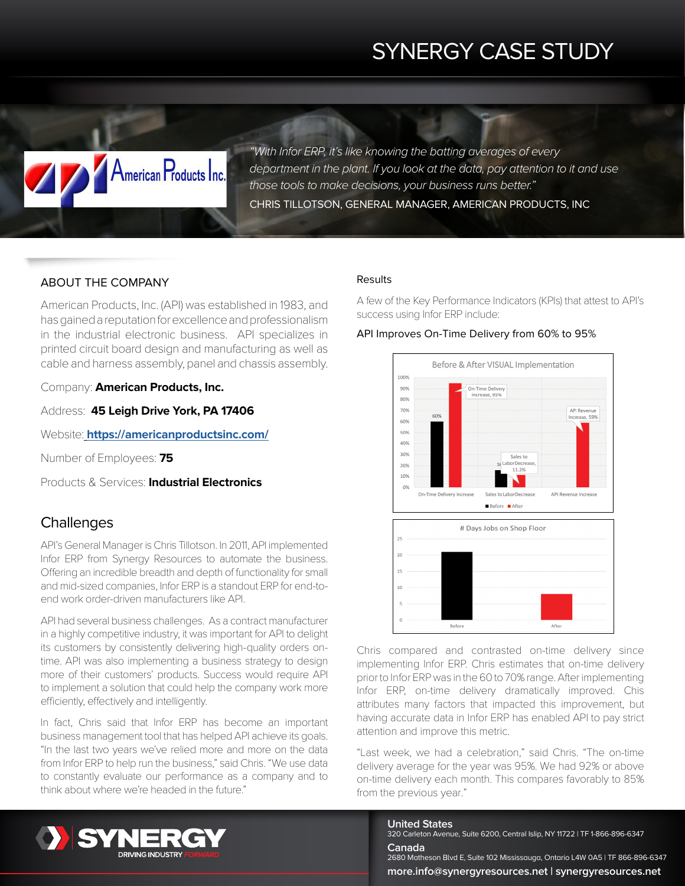# SYNERGY CASE STUDY

*"With Infor ERP, it's like knowing the batting averages of every department in the plant. If you look at the data, pay attention to it and use those tools to make decisions, your business runs better."* CHRIS TILLOTSON, GENERAL MANAGER, AMERICAN PRODUCTS, INC

# ABOUT THE COMPANY

American Products Inc.

American Products, Inc. (API) was established in 1983, and has gained a reputation for excellence and professionalism in the industrial electronic business. API specializes in printed circuit board design and manufacturing as well as cable and harness assembly, panel and chassis assembly.

Company: **American Products, Inc.**

Address: **45 Leigh Drive York, PA 17406**

Website: **<https://americanproductsinc.com/>**

Number of Employees: **75**

Products & Services: **Industrial Electronics**

# **Challenges**

API's General Manager is Chris Tillotson. In 2011, API implemented Infor ERP from Synergy Resources to automate the business. Offering an incredible breadth and depth of functionality for small and mid-sized companies, Infor ERP is a standout ERP for end-toend work order-driven manufacturers like API.

API had several business challenges. As a contract manufacturer in a highly competitive industry, it was important for API to delight its customers by consistently delivering high-quality orders ontime. API was also implementing a business strategy to design more of their customers' products. Success would require API to implement a solution that could help the company work more efficiently, effectively and intelligently.

In fact, Chris said that Infor ERP has become an important business management tool that has helped API achieve its goals. "In the last two years we've relied more and more on the data from Infor ERP to help run the business," said Chris. "We use data to constantly evaluate our performance as a company and to think about where we're headed in the future."

## Results

A few of the Key Performance Indicators (KPIs) that attest to API's success using Infor ERP include:

### API Improves On-Time Delivery from 60% to 95%





Chris compared and contrasted on-time delivery since implementing Infor ERP. Chris estimates that on-time delivery prior to Infor ERP was in the 60 to 70% range. After implementing Infor ERP, on-time delivery dramatically improved. Chis attributes many factors that impacted this improvement, but having accurate data in Infor ERP has enabled API to pay strict attention and improve this metric.

"Last week, we had a celebration," said Chris. "The on-time delivery average for the year was 95%. We had 92% or above on-time delivery each month. This compares favorably to 85% from the previous year."



**United States** 320 Carleton Avenue, Suite 6200, Central Islip, NY 11722 | TF 1-866-896-6347 **Canada**

2680 Matheson Blvd E, Suite 102 Mississauga, Ontario L4W 0A5 | TF 866-896-6347 **more.info@synergyresources.net | synergyresources.net**